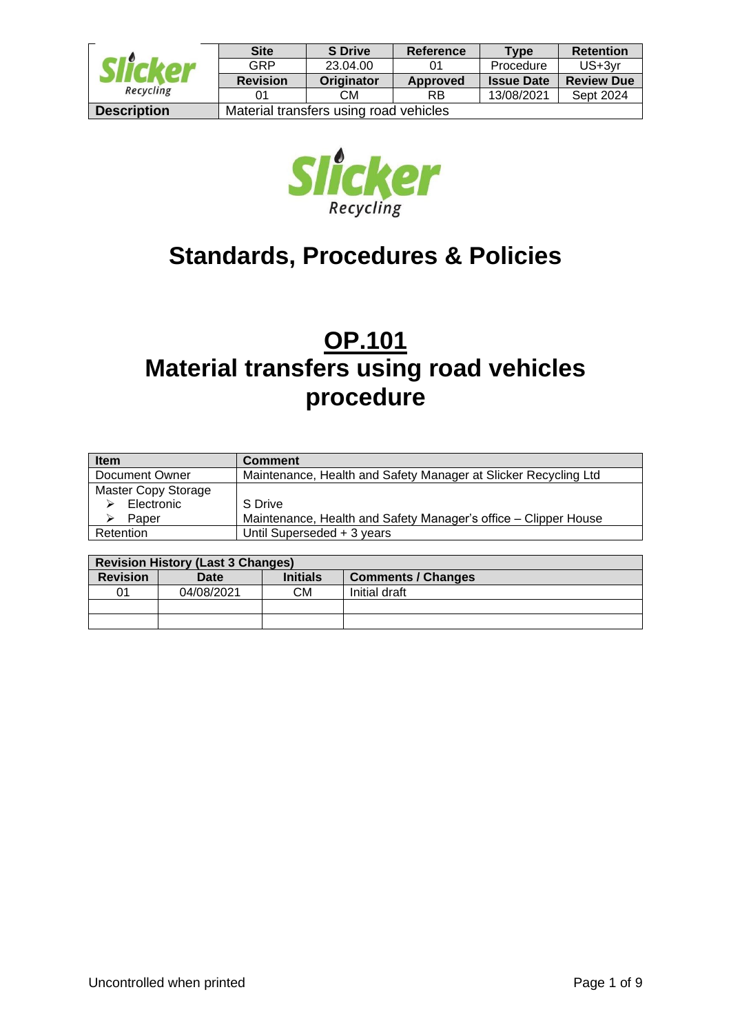| Recycling          | <b>Site</b>     | <b>S</b> Drive                         | Reference | <b>Type</b>       | <b>Retention</b>  |  |
|--------------------|-----------------|----------------------------------------|-----------|-------------------|-------------------|--|
|                    | GRP             | 23.04.00                               | 01        | Procedure         | $US+3vr$          |  |
|                    | <b>Revision</b> | Originator                             | Approved  | <b>Issue Date</b> | <b>Review Due</b> |  |
|                    |                 | CМ                                     | <b>RB</b> | 13/08/2021        | Sept 2024         |  |
| <b>Description</b> |                 | Material transfers using road vehicles |           |                   |                   |  |



# **Standards, Procedures & Policies**

# **OP.101 Material transfers using road vehicles procedure**

| <b>Item</b>         | <b>Comment</b>                                                  |
|---------------------|-----------------------------------------------------------------|
| Document Owner      | Maintenance, Health and Safety Manager at Slicker Recycling Ltd |
| Master Copy Storage |                                                                 |
| Electronic          | S Drive                                                         |
| Paper               | Maintenance, Health and Safety Manager's office – Clipper House |
| Retention           | Until Superseded + 3 years                                      |

|                 | <b>Revision History (Last 3 Changes)</b> |                 |                           |
|-----------------|------------------------------------------|-----------------|---------------------------|
| <b>Revision</b> | Date                                     | <b>Initials</b> | <b>Comments / Changes</b> |
| 01              | 04/08/2021                               | CМ              | Initial draft             |
|                 |                                          |                 |                           |
|                 |                                          |                 |                           |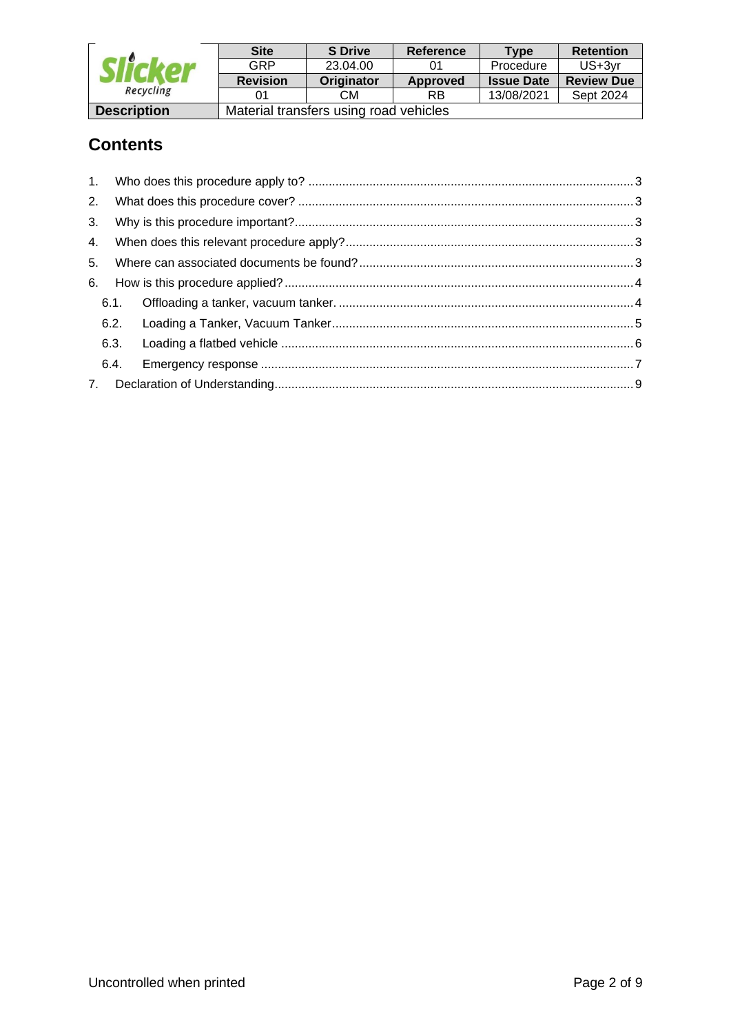| Slicker<br>Recycling | <b>Site</b>                            | <b>S</b> Drive | Reference | Tvpe              | <b>Retention</b>  |
|----------------------|----------------------------------------|----------------|-----------|-------------------|-------------------|
|                      | GRP                                    | 23.04.00       |           | Procedure         | $US+3vr$          |
|                      | <b>Revision</b>                        | Originator     | Approved  | <b>Issue Date</b> | <b>Review Due</b> |
|                      | ი1                                     | CМ             | RB        | 13/08/2021        | Sept 2024         |
| <b>Description</b>   | Material transfers using road vehicles |                |           |                   |                   |

## **Contents**

| 2.   |  |
|------|--|
|      |  |
|      |  |
|      |  |
|      |  |
|      |  |
|      |  |
|      |  |
| 6.4. |  |
|      |  |
|      |  |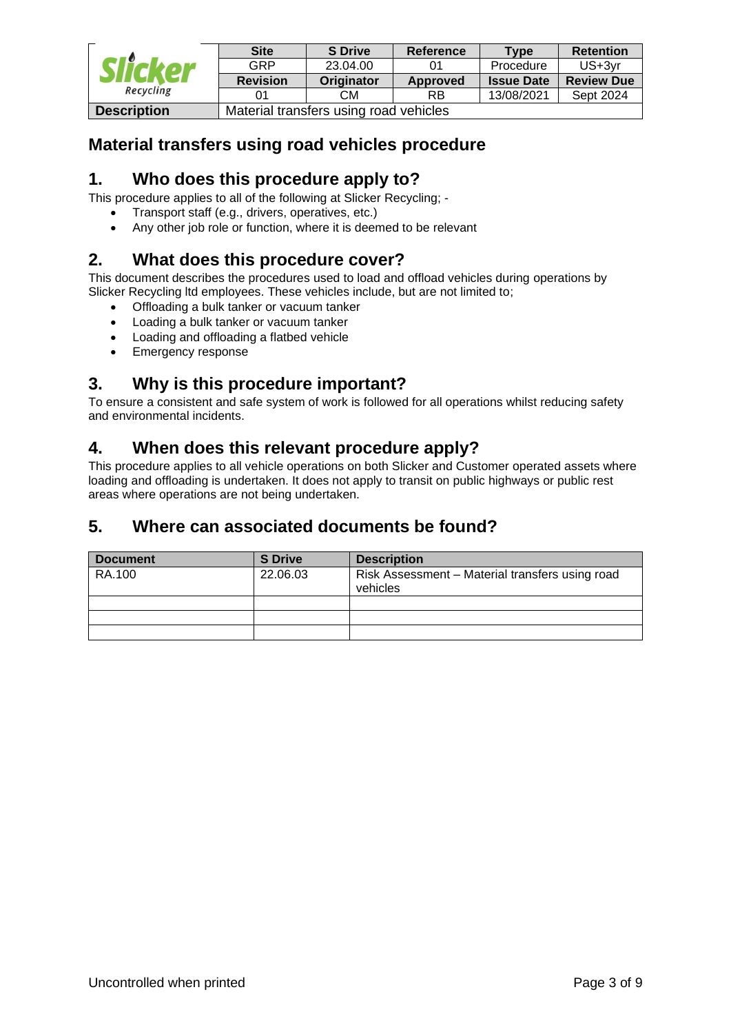| Recycling          | <b>Site</b>                            | <b>S</b> Drive | Reference | <b>Type</b>       | <b>Retention</b>  |
|--------------------|----------------------------------------|----------------|-----------|-------------------|-------------------|
|                    | GRP                                    | 23.04.00       |           | Procedure         | $US+3vr$          |
|                    | <b>Revision</b>                        | Originator     | Approved  | <b>Issue Date</b> | <b>Review Due</b> |
|                    |                                        | CМ             | RB        | 13/08/2021        | Sept 2024         |
| <b>Description</b> | Material transfers using road vehicles |                |           |                   |                   |

## **Material transfers using road vehicles procedure**

## <span id="page-2-0"></span>**1. Who does this procedure apply to?**

This procedure applies to all of the following at Slicker Recycling; -

- Transport staff (e.g., drivers, operatives, etc.)
- Any other job role or function, where it is deemed to be relevant

## <span id="page-2-1"></span>**2. What does this procedure cover?**

This document describes the procedures used to load and offload vehicles during operations by Slicker Recycling ltd employees. These vehicles include, but are not limited to;

- Offloading a bulk tanker or vacuum tanker
- Loading a bulk tanker or vacuum tanker
- Loading and offloading a flatbed vehicle
- Emergency response

## <span id="page-2-2"></span>**3. Why is this procedure important?**

To ensure a consistent and safe system of work is followed for all operations whilst reducing safety and environmental incidents.

### <span id="page-2-3"></span>**4. When does this relevant procedure apply?**

This procedure applies to all vehicle operations on both Slicker and Customer operated assets where loading and offloading is undertaken. It does not apply to transit on public highways or public rest areas where operations are not being undertaken.

### <span id="page-2-4"></span>**5. Where can associated documents be found?**

| <b>Document</b> | <b>S</b> Drive | <b>Description</b>                                          |
|-----------------|----------------|-------------------------------------------------------------|
| RA.100          | 22.06.03       | Risk Assessment - Material transfers using road<br>vehicles |
|                 |                |                                                             |
|                 |                |                                                             |
|                 |                |                                                             |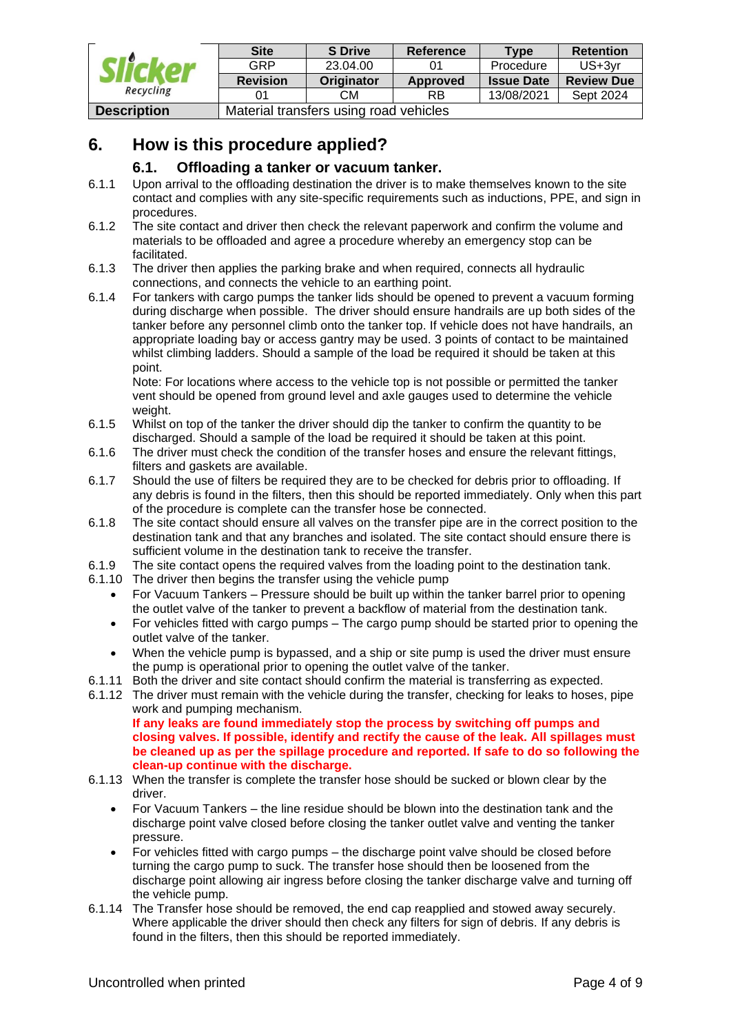| Slicker<br>Recycling | <b>Site</b>                            | <b>S</b> Drive | Reference | Tvpe              | <b>Retention</b>  |
|----------------------|----------------------------------------|----------------|-----------|-------------------|-------------------|
|                      | GRP                                    | 23.04.00       |           | Procedure         | $US+3vr$          |
|                      | <b>Revision</b>                        | Originator     | Approved  | <b>Issue Date</b> | <b>Review Due</b> |
|                      | ი1                                     | CМ             | RB        | 13/08/2021        | Sept 2024         |
| <b>Description</b>   | Material transfers using road vehicles |                |           |                   |                   |

## <span id="page-3-0"></span>**6. How is this procedure applied?**

#### **6.1. Offloading a tanker or vacuum tanker.**

- <span id="page-3-1"></span>6.1.1 Upon arrival to the offloading destination the driver is to make themselves known to the site contact and complies with any site-specific requirements such as inductions, PPE, and sign in procedures.
- 6.1.2 The site contact and driver then check the relevant paperwork and confirm the volume and materials to be offloaded and agree a procedure whereby an emergency stop can be facilitated.
- 6.1.3 The driver then applies the parking brake and when required, connects all hydraulic connections, and connects the vehicle to an earthing point.
- 6.1.4 For tankers with cargo pumps the tanker lids should be opened to prevent a vacuum forming during discharge when possible. The driver should ensure handrails are up both sides of the tanker before any personnel climb onto the tanker top. If vehicle does not have handrails, an appropriate loading bay or access gantry may be used. 3 points of contact to be maintained whilst climbing ladders. Should a sample of the load be required it should be taken at this point.

Note: For locations where access to the vehicle top is not possible or permitted the tanker vent should be opened from ground level and axle gauges used to determine the vehicle weight.

- 6.1.5 Whilst on top of the tanker the driver should dip the tanker to confirm the quantity to be discharged. Should a sample of the load be required it should be taken at this point.
- 6.1.6 The driver must check the condition of the transfer hoses and ensure the relevant fittings, filters and gaskets are available.
- 6.1.7 Should the use of filters be required they are to be checked for debris prior to offloading. If any debris is found in the filters, then this should be reported immediately. Only when this part of the procedure is complete can the transfer hose be connected.
- 6.1.8 The site contact should ensure all valves on the transfer pipe are in the correct position to the destination tank and that any branches and isolated. The site contact should ensure there is sufficient volume in the destination tank to receive the transfer.
- 6.1.9 The site contact opens the required valves from the loading point to the destination tank.
- 6.1.10 The driver then begins the transfer using the vehicle pump
	- For Vacuum Tankers Pressure should be built up within the tanker barrel prior to opening the outlet valve of the tanker to prevent a backflow of material from the destination tank.
	- For vehicles fitted with cargo pumps The cargo pump should be started prior to opening the outlet valve of the tanker.
	- When the vehicle pump is bypassed, and a ship or site pump is used the driver must ensure the pump is operational prior to opening the outlet valve of the tanker.
- 6.1.11 Both the driver and site contact should confirm the material is transferring as expected.
- 6.1.12 The driver must remain with the vehicle during the transfer, checking for leaks to hoses, pipe work and pumping mechanism. **If any leaks are found immediately stop the process by switching off pumps and closing valves. If possible, identify and rectify the cause of the leak. All spillages must**

**be cleaned up as per the spillage procedure and reported. If safe to do so following the clean-up continue with the discharge.**

- 6.1.13 When the transfer is complete the transfer hose should be sucked or blown clear by the driver.
	- For Vacuum Tankers the line residue should be blown into the destination tank and the discharge point valve closed before closing the tanker outlet valve and venting the tanker pressure.
	- For vehicles fitted with cargo pumps the discharge point valve should be closed before turning the cargo pump to suck. The transfer hose should then be loosened from the discharge point allowing air ingress before closing the tanker discharge valve and turning off the vehicle pump.
- 6.1.14 The Transfer hose should be removed, the end cap reapplied and stowed away securely. Where applicable the driver should then check any filters for sign of debris. If any debris is found in the filters, then this should be reported immediately.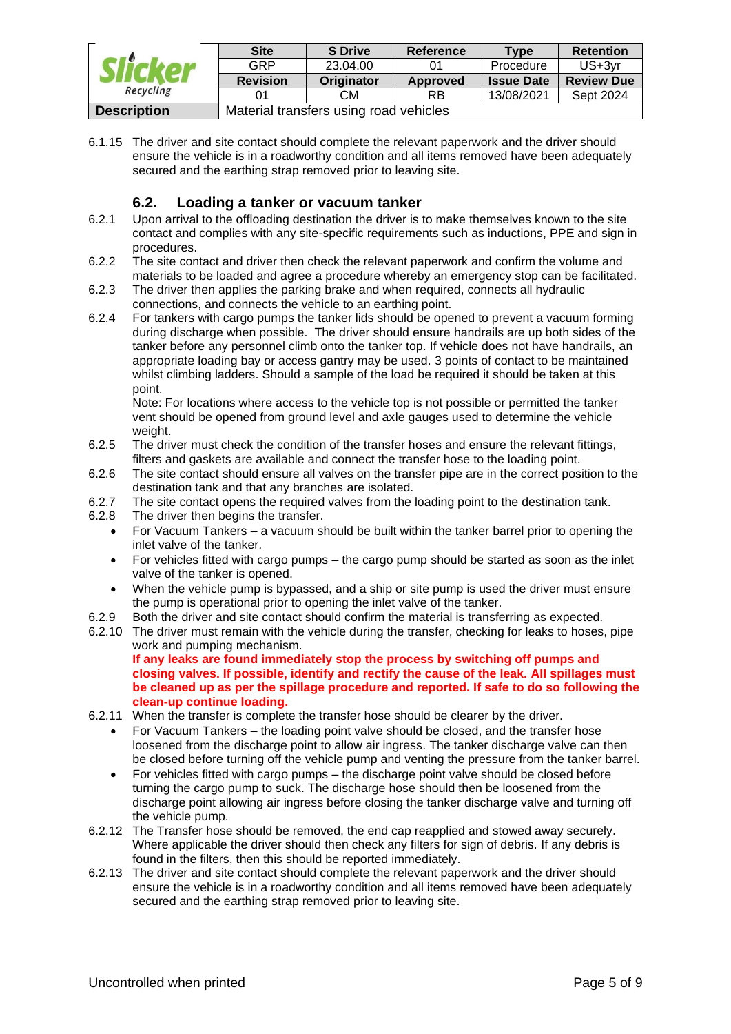| Recycling          | <b>Site</b>     | <b>S</b> Drive                         | <b>Reference</b> | Type              | <b>Retention</b>  |  |
|--------------------|-----------------|----------------------------------------|------------------|-------------------|-------------------|--|
|                    | GRP             | 23.04.00                               | 0 <sup>1</sup>   | Procedure         | US+3yr            |  |
|                    | <b>Revision</b> | Originator                             | Approved         | <b>Issue Date</b> | <b>Review Due</b> |  |
|                    |                 | CМ                                     | <b>RB</b>        | 13/08/2021        | Sept 2024         |  |
| <b>Description</b> |                 | Material transfers using road vehicles |                  |                   |                   |  |

6.1.15 The driver and site contact should complete the relevant paperwork and the driver should ensure the vehicle is in a roadworthy condition and all items removed have been adequately secured and the earthing strap removed prior to leaving site.

#### **6.2. Loading a tanker or vacuum tanker**

- <span id="page-4-0"></span>6.2.1 Upon arrival to the offloading destination the driver is to make themselves known to the site contact and complies with any site-specific requirements such as inductions, PPE and sign in procedures.
- 6.2.2 The site contact and driver then check the relevant paperwork and confirm the volume and materials to be loaded and agree a procedure whereby an emergency stop can be facilitated.
- 6.2.3 The driver then applies the parking brake and when required, connects all hydraulic connections, and connects the vehicle to an earthing point.
- 6.2.4 For tankers with cargo pumps the tanker lids should be opened to prevent a vacuum forming during discharge when possible. The driver should ensure handrails are up both sides of the tanker before any personnel climb onto the tanker top. If vehicle does not have handrails, an appropriate loading bay or access gantry may be used. 3 points of contact to be maintained whilst climbing ladders. Should a sample of the load be required it should be taken at this point.

Note: For locations where access to the vehicle top is not possible or permitted the tanker vent should be opened from ground level and axle gauges used to determine the vehicle weight.

- 6.2.5 The driver must check the condition of the transfer hoses and ensure the relevant fittings, filters and gaskets are available and connect the transfer hose to the loading point.
- 6.2.6 The site contact should ensure all valves on the transfer pipe are in the correct position to the destination tank and that any branches are isolated.
- 6.2.7 The site contact opens the required valves from the loading point to the destination tank.
- 6.2.8 The driver then begins the transfer.
	- For Vacuum Tankers a vacuum should be built within the tanker barrel prior to opening the inlet valve of the tanker.
	- For vehicles fitted with cargo pumps the cargo pump should be started as soon as the inlet valve of the tanker is opened.
	- When the vehicle pump is bypassed, and a ship or site pump is used the driver must ensure the pump is operational prior to opening the inlet valve of the tanker.
- 6.2.9 Both the driver and site contact should confirm the material is transferring as expected.
- 6.2.10 The driver must remain with the vehicle during the transfer, checking for leaks to hoses, pipe work and pumping mechanism.

**If any leaks are found immediately stop the process by switching off pumps and closing valves. If possible, identify and rectify the cause of the leak. All spillages must be cleaned up as per the spillage procedure and reported. If safe to do so following the clean-up continue loading.**

- 6.2.11 When the transfer is complete the transfer hose should be clearer by the driver.
	- For Vacuum Tankers the loading point valve should be closed, and the transfer hose loosened from the discharge point to allow air ingress. The tanker discharge valve can then be closed before turning off the vehicle pump and venting the pressure from the tanker barrel.
	- For vehicles fitted with cargo pumps the discharge point valve should be closed before turning the cargo pump to suck. The discharge hose should then be loosened from the discharge point allowing air ingress before closing the tanker discharge valve and turning off the vehicle pump.
- 6.2.12 The Transfer hose should be removed, the end cap reapplied and stowed away securely. Where applicable the driver should then check any filters for sign of debris. If any debris is found in the filters, then this should be reported immediately.
- 6.2.13 The driver and site contact should complete the relevant paperwork and the driver should ensure the vehicle is in a roadworthy condition and all items removed have been adequately secured and the earthing strap removed prior to leaving site.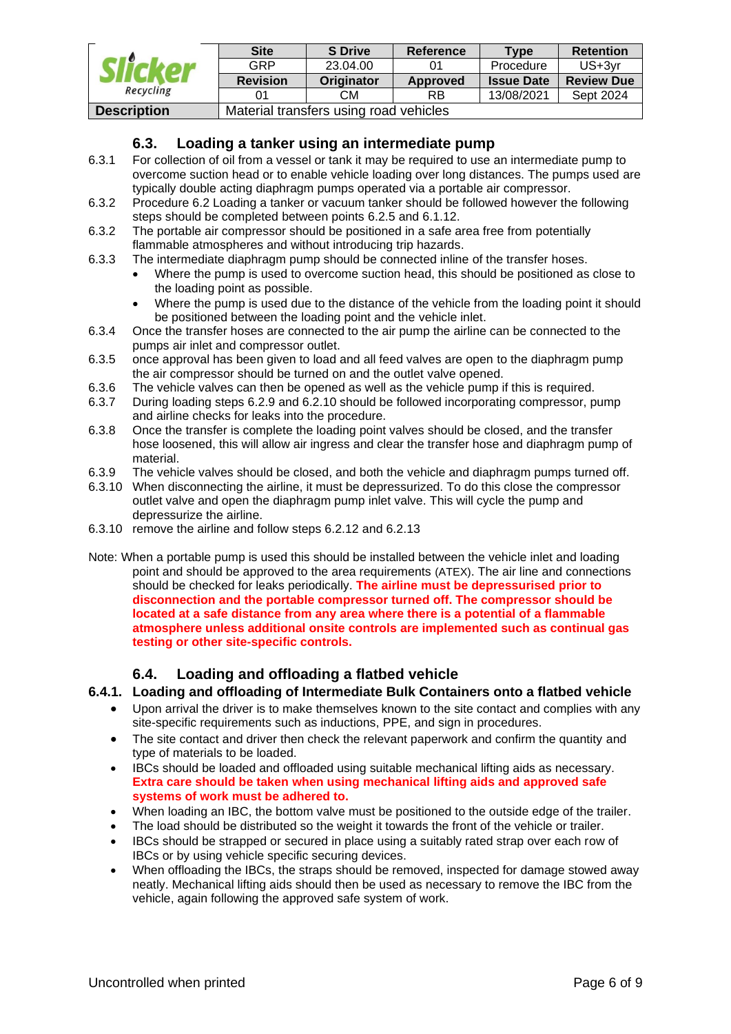| Slicker<br>Recycling | <b>Site</b>                            | <b>S</b> Drive | <b>Reference</b> | Type              | <b>Retention</b>  |
|----------------------|----------------------------------------|----------------|------------------|-------------------|-------------------|
|                      | <b>GRP</b>                             | 23.04.00       | 01               | Procedure         | $US+3vr$          |
|                      | <b>Revision</b>                        | Originator     | <b>Approved</b>  | <b>Issue Date</b> | <b>Review Due</b> |
|                      |                                        | CМ             | RB               | 13/08/2021        | Sept 2024         |
| <b>Description</b>   | Material transfers using road vehicles |                |                  |                   |                   |

#### **6.3. Loading a tanker using an intermediate pump**

- 6.3.1 For collection of oil from a vessel or tank it may be required to use an intermediate pump to overcome suction head or to enable vehicle loading over long distances. The pumps used are typically double acting diaphragm pumps operated via a portable air compressor.
- 6.3.2 Procedure 6.2 Loading a tanker or vacuum tanker should be followed however the following steps should be completed between points 6.2.5 and 6.1.12.
- 6.3.2 The portable air compressor should be positioned in a safe area free from potentially flammable atmospheres and without introducing trip hazards.
- 6.3.3 The intermediate diaphragm pump should be connected inline of the transfer hoses.
	- Where the pump is used to overcome suction head, this should be positioned as close to the loading point as possible.
	- Where the pump is used due to the distance of the vehicle from the loading point it should be positioned between the loading point and the vehicle inlet.
- 6.3.4 Once the transfer hoses are connected to the air pump the airline can be connected to the pumps air inlet and compressor outlet.
- 6.3.5 once approval has been given to load and all feed valves are open to the diaphragm pump the air compressor should be turned on and the outlet valve opened.
- 6.3.6 The vehicle valves can then be opened as well as the vehicle pump if this is required.
- 6.3.7 During loading steps 6.2.9 and 6.2.10 should be followed incorporating compressor, pump and airline checks for leaks into the procedure.
- 6.3.8 Once the transfer is complete the loading point valves should be closed, and the transfer hose loosened, this will allow air ingress and clear the transfer hose and diaphragm pump of material.
- 6.3.9 The vehicle valves should be closed, and both the vehicle and diaphragm pumps turned off.
- 6.3.10 When disconnecting the airline, it must be depressurized. To do this close the compressor outlet valve and open the diaphragm pump inlet valve. This will cycle the pump and depressurize the airline.
- 6.3.10 remove the airline and follow steps 6.2.12 and 6.2.13
- Note: When a portable pump is used this should be installed between the vehicle inlet and loading point and should be approved to the area requirements (ATEX). The air line and connections should be checked for leaks periodically. **The airline must be depressurised prior to disconnection and the portable compressor turned off. The compressor should be located at a safe distance from any area where there is a potential of a flammable atmosphere unless additional onsite controls are implemented such as continual gas testing or other site-specific controls.**

#### **6.4. Loading and offloading a flatbed vehicle**

#### <span id="page-5-0"></span>**6.4.1. Loading and offloading of Intermediate Bulk Containers onto a flatbed vehicle**

- Upon arrival the driver is to make themselves known to the site contact and complies with any site-specific requirements such as inductions, PPE, and sign in procedures.
- The site contact and driver then check the relevant paperwork and confirm the quantity and type of materials to be loaded.
- IBCs should be loaded and offloaded using suitable mechanical lifting aids as necessary. **Extra care should be taken when using mechanical lifting aids and approved safe systems of work must be adhered to.**
- When loading an IBC, the bottom valve must be positioned to the outside edge of the trailer.
- The load should be distributed so the weight it towards the front of the vehicle or trailer.
- IBCs should be strapped or secured in place using a suitably rated strap over each row of IBCs or by using vehicle specific securing devices.
- When offloading the IBCs, the straps should be removed, inspected for damage stowed away neatly. Mechanical lifting aids should then be used as necessary to remove the IBC from the vehicle, again following the approved safe system of work.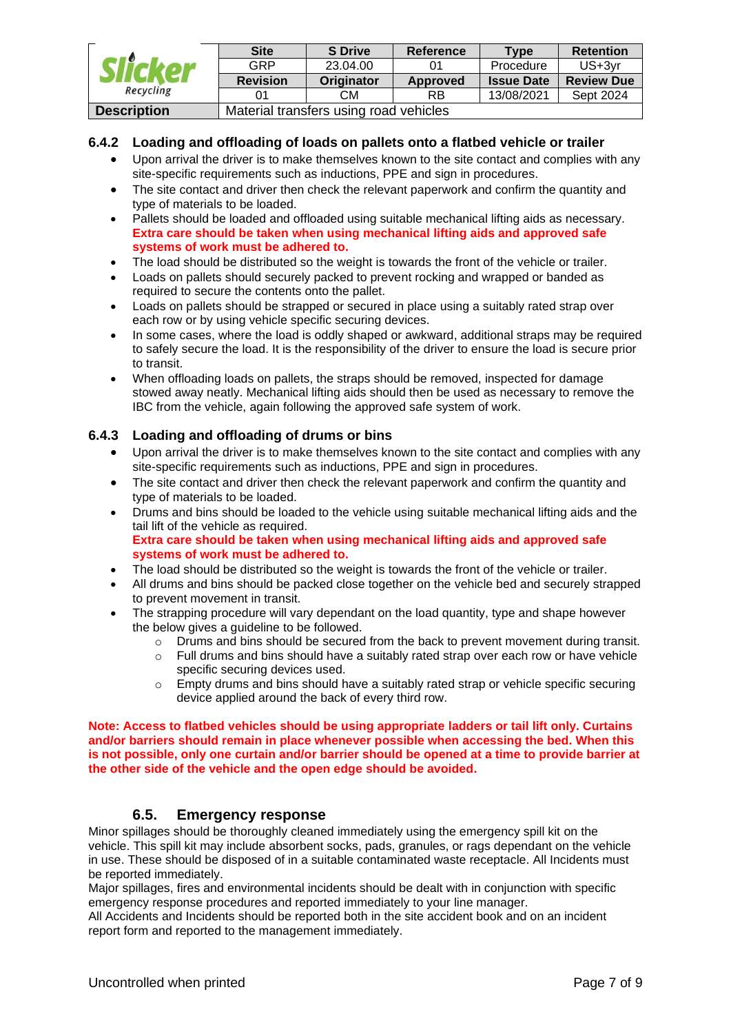| Slicker<br>Recycling | <b>Site</b>                            | <b>S</b> Drive | <b>Reference</b> | Type              | <b>Retention</b>  |
|----------------------|----------------------------------------|----------------|------------------|-------------------|-------------------|
|                      | GRP                                    | 23.04.00       |                  | Procedure         | US+3yr            |
|                      | <b>Revision</b>                        | Originator     | Approved         | <b>Issue Date</b> | <b>Review Due</b> |
|                      |                                        | <b>CM</b>      | <b>RB</b>        | 13/08/2021        | Sept 2024         |
| <b>Description</b>   | Material transfers using road vehicles |                |                  |                   |                   |

#### **6.4.2 Loading and offloading of loads on pallets onto a flatbed vehicle or trailer**

- Upon arrival the driver is to make themselves known to the site contact and complies with any site-specific requirements such as inductions, PPE and sign in procedures.
- The site contact and driver then check the relevant paperwork and confirm the quantity and type of materials to be loaded.
- Pallets should be loaded and offloaded using suitable mechanical lifting aids as necessary. **Extra care should be taken when using mechanical lifting aids and approved safe systems of work must be adhered to.**
- The load should be distributed so the weight is towards the front of the vehicle or trailer.
- Loads on pallets should securely packed to prevent rocking and wrapped or banded as required to secure the contents onto the pallet.
- Loads on pallets should be strapped or secured in place using a suitably rated strap over each row or by using vehicle specific securing devices.
- In some cases, where the load is oddly shaped or awkward, additional straps may be required to safely secure the load. It is the responsibility of the driver to ensure the load is secure prior to transit.
- When offloading loads on pallets, the straps should be removed, inspected for damage stowed away neatly. Mechanical lifting aids should then be used as necessary to remove the IBC from the vehicle, again following the approved safe system of work.

#### **6.4.3 Loading and offloading of drums or bins**

- Upon arrival the driver is to make themselves known to the site contact and complies with any site-specific requirements such as inductions. PPE and sign in procedures.
- The site contact and driver then check the relevant paperwork and confirm the quantity and type of materials to be loaded.
- Drums and bins should be loaded to the vehicle using suitable mechanical lifting aids and the tail lift of the vehicle as required. **Extra care should be taken when using mechanical lifting aids and approved safe systems of work must be adhered to.**
- The load should be distributed so the weight is towards the front of the vehicle or trailer.
- All drums and bins should be packed close together on the vehicle bed and securely strapped to prevent movement in transit.
- The strapping procedure will vary dependant on the load quantity, type and shape however the below gives a guideline to be followed.
	- $\circ$  Drums and bins should be secured from the back to prevent movement during transit.
	- o Full drums and bins should have a suitably rated strap over each row or have vehicle specific securing devices used.
	- $\circ$  Empty drums and bins should have a suitably rated strap or vehicle specific securing device applied around the back of every third row.

**Note: Access to flatbed vehicles should be using appropriate ladders or tail lift only. Curtains and/or barriers should remain in place whenever possible when accessing the bed. When this is not possible, only one curtain and/or barrier should be opened at a time to provide barrier at the other side of the vehicle and the open edge should be avoided.**

#### **6.5. Emergency response**

<span id="page-6-0"></span>Minor spillages should be thoroughly cleaned immediately using the emergency spill kit on the vehicle. This spill kit may include absorbent socks, pads, granules, or rags dependant on the vehicle in use. These should be disposed of in a suitable contaminated waste receptacle. All Incidents must be reported immediately.

Major spillages, fires and environmental incidents should be dealt with in conjunction with specific emergency response procedures and reported immediately to your line manager.

All Accidents and Incidents should be reported both in the site accident book and on an incident report form and reported to the management immediately.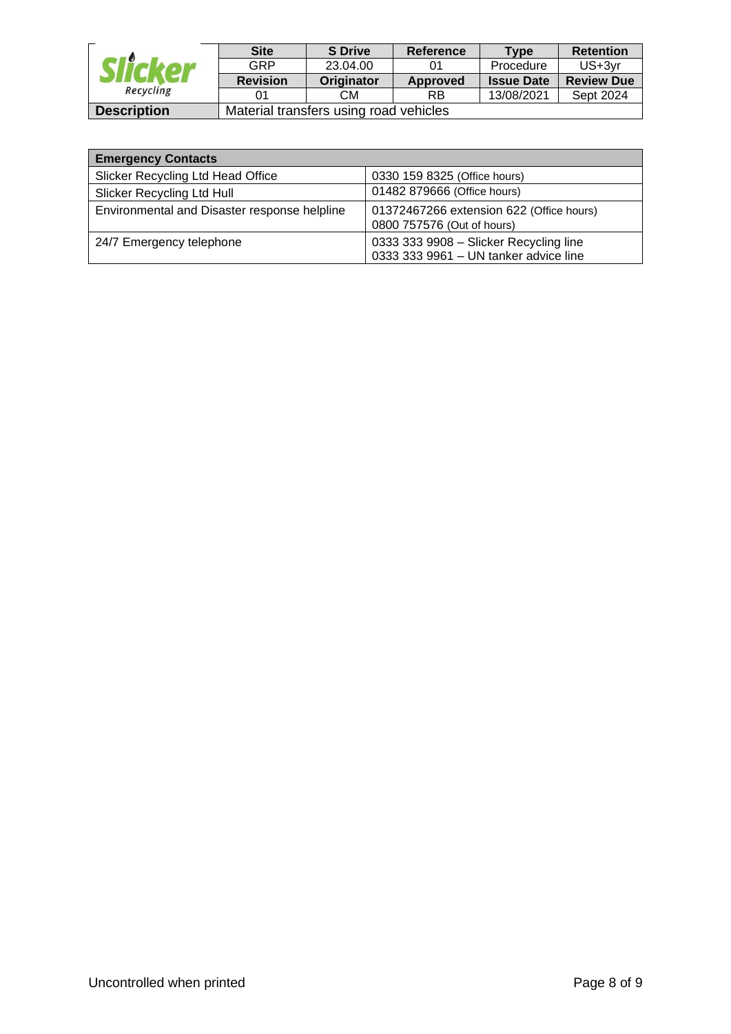| Recycling          | <b>Site</b>                            | <b>S</b> Drive | <b>Reference</b> | Type              | <b>Retention</b>  |
|--------------------|----------------------------------------|----------------|------------------|-------------------|-------------------|
|                    | GRP                                    | 23.04.00       |                  | Procedure         | $US+3vr$          |
|                    | <b>Revision</b>                        | Originator     | Approved         | <b>Issue Date</b> | <b>Review Due</b> |
|                    | 01                                     | CМ             | RB               | 13/08/2021        | Sept 2024         |
| <b>Description</b> | Material transfers using road vehicles |                |                  |                   |                   |

| <b>Emergency Contacts</b>                    |                                                                                 |  |  |  |  |
|----------------------------------------------|---------------------------------------------------------------------------------|--|--|--|--|
| Slicker Recycling Ltd Head Office            | 0330 159 8325 (Office hours)                                                    |  |  |  |  |
| Slicker Recycling Ltd Hull                   | 01482 879666 (Office hours)                                                     |  |  |  |  |
| Environmental and Disaster response helpline | 01372467266 extension 622 (Office hours)<br>0800 757576 (Out of hours)          |  |  |  |  |
| 24/7 Emergency telephone                     | 0333 333 9908 - Slicker Recycling line<br>0333 333 9961 - UN tanker advice line |  |  |  |  |